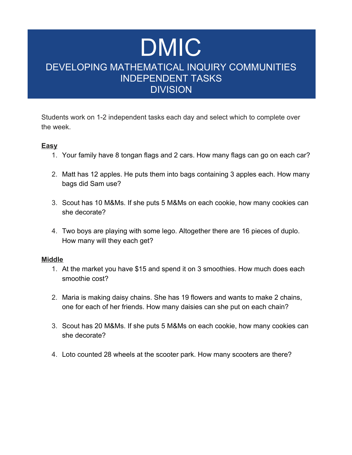# DMIC DEVELOPING MATHEMATICAL INQUIRY COMMUNITIES INDEPENDENT TASKS **DIVISION**

Students work on 1-2 independent tasks each day and select which to complete over the week.

### **Easy**

- 1. Your family have 8 tongan flags and 2 cars. How many flags can go on each car?
- 2. Matt has 12 apples. He puts them into bags containing 3 apples each. How many bags did Sam use?
- 3. Scout has 10 M&Ms. If she puts 5 M&Ms on each cookie, how many cookies can she decorate?
- 4. Two boys are playing with some lego. Altogether there are 16 pieces of duplo. How many will they each get?

#### **Middle**

- 1. At the market you have \$15 and spend it on 3 smoothies. How much does each smoothie cost?
- 2. Maria is making daisy chains. She has 19 flowers and wants to make 2 chains, one for each of her friends. How many daisies can she put on each chain?
- 3. Scout has 20 M&Ms. If she puts 5 M&Ms on each cookie, how many cookies can she decorate?
- 4. Loto counted 28 wheels at the scooter park. How many scooters are there?